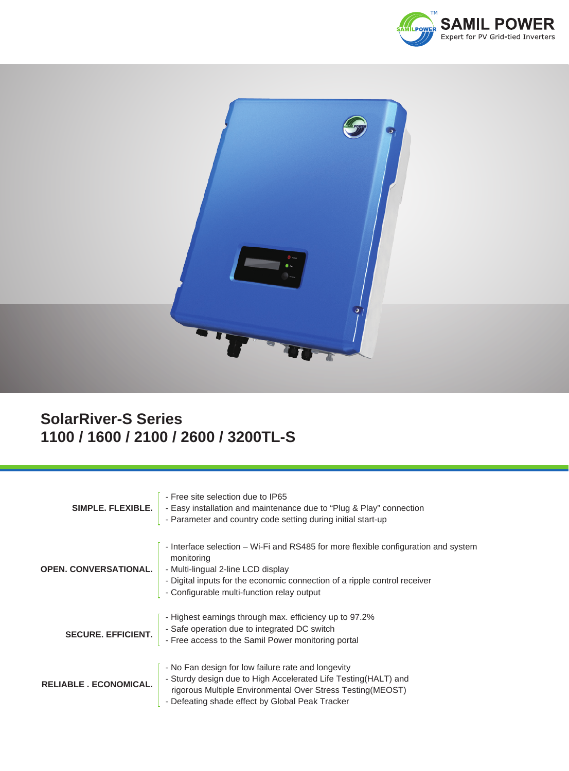



## **SolarRiver-S Series 1100 / 1600 / 2100 / 2600 / 3200TL-S**

| SIMPLE, FLEXIBLE.            | - Free site selection due to IP65<br>- Easy installation and maintenance due to "Plug & Play" connection<br>- Parameter and country code setting during initial start-up                                                                                          |
|------------------------------|-------------------------------------------------------------------------------------------------------------------------------------------------------------------------------------------------------------------------------------------------------------------|
| <b>OPEN. CONVERSATIONAL.</b> | - Interface selection – Wi-Fi and RS485 for more flexible configuration and system<br>monitoring<br>- Multi-lingual 2-line LCD display<br>- Digital inputs for the economic connection of a ripple control receiver<br>- Configurable multi-function relay output |
| <b>SECURE. EFFICIENT.</b>    | - Highest earnings through max. efficiency up to 97.2%<br>- Safe operation due to integrated DC switch<br>- Free access to the Samil Power monitoring portal                                                                                                      |
| <b>RELIABLE, ECONOMICAL.</b> | - No Fan design for low failure rate and longevity<br>- Sturdy design due to High Accelerated Life Testing (HALT) and<br>rigorous Multiple Environmental Over Stress Testing (MEOST)<br>- Defeating shade effect by Global Peak Tracker                           |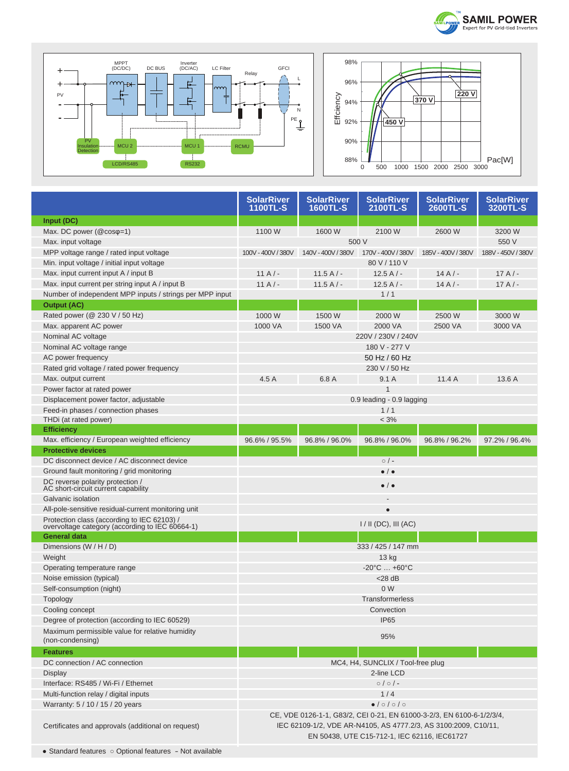



|                                                                                                | <b>SolarRiver</b><br><b>1100TL-S</b>                                                                                                                                                     | <b>SolarRiver</b><br><b>1600TL-S</b> | <b>SolarRiver</b><br>2100TL-S | <b>SolarRiver</b><br><b>2600TL-S</b> | <b>SolarRiver</b><br>3200TL-S |
|------------------------------------------------------------------------------------------------|------------------------------------------------------------------------------------------------------------------------------------------------------------------------------------------|--------------------------------------|-------------------------------|--------------------------------------|-------------------------------|
| Input (DC)                                                                                     |                                                                                                                                                                                          |                                      |                               |                                      |                               |
| Max. DC power (@cosq=1)                                                                        | 1100 W                                                                                                                                                                                   | 1600 W                               | 2100 W                        | 2600 W                               | 3200 W                        |
| Max. input voltage                                                                             | 500 V                                                                                                                                                                                    |                                      |                               | 550 V                                |                               |
| MPP voltage range / rated input voltage                                                        | 100V - 400V / 380V                                                                                                                                                                       | 140V - 400V / 380V                   | 170V - 400V / 380V            | 185V - 400V / 380V                   | 188V - 450V / 380V            |
| Min. input voltage / initial input voltage                                                     | 80 V / 110 V                                                                                                                                                                             |                                      |                               |                                      |                               |
| Max. input current input A / input B                                                           | $11A/-$                                                                                                                                                                                  | 11.5 A $/$ -                         | $12.5A/-$                     | $14A/-$                              | $17A/-$                       |
| Max. input current per string input A / input B                                                | $11A/-$                                                                                                                                                                                  | $11.5A/-$                            | $12.5A/-$                     | $14A/-$                              | $17A/-$                       |
| Number of independent MPP inputs / strings per MPP input                                       |                                                                                                                                                                                          |                                      | 1/1                           |                                      |                               |
| <b>Output (AC)</b>                                                                             |                                                                                                                                                                                          |                                      |                               |                                      |                               |
| Rated power ( $@$ 230 V / 50 Hz)                                                               | 1000 W                                                                                                                                                                                   | 1500 W                               | 2000 W                        | 2500 W                               | 3000 W                        |
| Max. apparent AC power                                                                         | 1000 VA                                                                                                                                                                                  | 1500 VA                              | 2000 VA                       | 2500 VA                              | 3000 VA                       |
| Nominal AC voltage                                                                             | 220V / 230V / 240V                                                                                                                                                                       |                                      |                               |                                      |                               |
| Nominal AC voltage range                                                                       | 180 V - 277 V                                                                                                                                                                            |                                      |                               |                                      |                               |
| AC power frequency                                                                             | 50 Hz / 60 Hz                                                                                                                                                                            |                                      |                               |                                      |                               |
| Rated grid voltage / rated power frequency                                                     | 230 V / 50 Hz                                                                                                                                                                            |                                      |                               |                                      |                               |
| Max. output current                                                                            | 4.5 A                                                                                                                                                                                    | 6.8 A                                | 9.1A                          | 11.4A                                | 13.6 A                        |
| Power factor at rated power                                                                    |                                                                                                                                                                                          |                                      | 1                             |                                      |                               |
| Displacement power factor, adjustable                                                          | 0.9 leading - 0.9 lagging                                                                                                                                                                |                                      |                               |                                      |                               |
| Feed-in phases / connection phases                                                             |                                                                                                                                                                                          |                                      | 1/1                           |                                      |                               |
| THDi (at rated power)                                                                          | $< 3\%$                                                                                                                                                                                  |                                      |                               |                                      |                               |
| <b>Efficiency</b>                                                                              |                                                                                                                                                                                          |                                      |                               |                                      |                               |
| Max. efficiency / European weighted efficiency                                                 | 96.6% / 95.5%                                                                                                                                                                            | 96.8% / 96.0%                        | 96.8% / 96.0%                 | 96.8% / 96.2%                        | 97.2% / 96.4%                 |
| <b>Protective devices</b>                                                                      |                                                                                                                                                                                          |                                      |                               |                                      |                               |
| DC disconnect device / AC disconnect device                                                    | $\circ$ / -                                                                                                                                                                              |                                      |                               |                                      |                               |
| Ground fault monitoring / grid monitoring                                                      | $\bullet$ / $\bullet$                                                                                                                                                                    |                                      |                               |                                      |                               |
| DC reverse polarity protection /<br>AC short-circuit current capability                        | $\bullet$ / $\bullet$                                                                                                                                                                    |                                      |                               |                                      |                               |
| Galvanic isolation                                                                             |                                                                                                                                                                                          |                                      |                               |                                      |                               |
| All-pole-sensitive residual-current monitoring unit                                            | $\bullet$                                                                                                                                                                                |                                      |                               |                                      |                               |
| Protection class (according to IEC 62103) /<br>overvoltage category (according to IEC 60664-1) | $1/$ II (DC), III (AC)                                                                                                                                                                   |                                      |                               |                                      |                               |
| <b>General data</b>                                                                            |                                                                                                                                                                                          |                                      |                               |                                      |                               |
| Dimensions (W / H / D)                                                                         | 333 / 425 / 147 mm                                                                                                                                                                       |                                      |                               |                                      |                               |
| Weight                                                                                         | 13 kg                                                                                                                                                                                    |                                      |                               |                                      |                               |
| Operating temperature range                                                                    | $-20^{\circ}$ C $+60^{\circ}$ C                                                                                                                                                          |                                      |                               |                                      |                               |
| Noise emission (typical)                                                                       | $<$ 28 dB                                                                                                                                                                                |                                      |                               |                                      |                               |
| Self-consumption (night)                                                                       | 0 <sub>W</sub>                                                                                                                                                                           |                                      |                               |                                      |                               |
| <b>Topology</b>                                                                                | Transformerless                                                                                                                                                                          |                                      |                               |                                      |                               |
| Cooling concept                                                                                | Convection                                                                                                                                                                               |                                      |                               |                                      |                               |
| Degree of protection (according to IEC 60529)                                                  | IP65                                                                                                                                                                                     |                                      |                               |                                      |                               |
| Maximum permissible value for relative humidity<br>(non-condensing)                            | 95%                                                                                                                                                                                      |                                      |                               |                                      |                               |
| <b>Features</b>                                                                                |                                                                                                                                                                                          |                                      |                               |                                      |                               |
| DC connection / AC connection                                                                  | MC4, H4, SUNCLIX / Tool-free plug                                                                                                                                                        |                                      |                               |                                      |                               |
| <b>Display</b>                                                                                 | 2-line LCD                                                                                                                                                                               |                                      |                               |                                      |                               |
| Interface: RS485 / Wi-Fi / Ethernet                                                            | $0/0/-$                                                                                                                                                                                  |                                      |                               |                                      |                               |
| Multi-function relay / digital inputs                                                          | 1/4                                                                                                                                                                                      |                                      |                               |                                      |                               |
| Warranty: 5 / 10 / 15 / 20 years                                                               |                                                                                                                                                                                          |                                      | $\bullet$ /0/0/0              |                                      |                               |
| Certificates and approvals (additional on request)                                             | CE, VDE 0126-1-1, G83/2, CEI 0-21, EN 61000-3-2/3, EN 6100-6-1/2/3/4,<br>IEC 62109-1/2, VDE AR-N4105, AS 4777.2/3, AS 3100:2009, C10/11,<br>EN 50438, UTE C15-712-1, IEC 62116, IEC61727 |                                      |                               |                                      |                               |

D

Ū

Г

Г